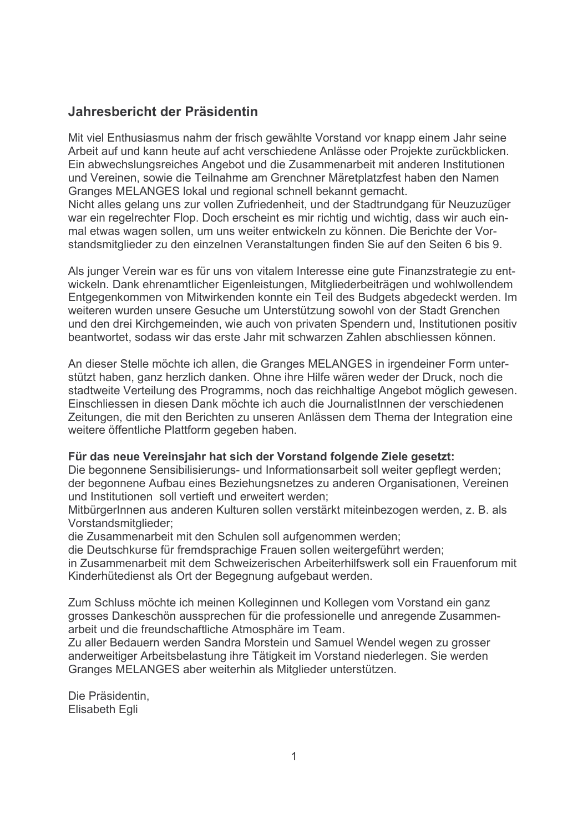### Jahresbericht der Präsidentin

Mit viel Enthusiasmus nahm der frisch gewählte Vorstand vor knapp einem Jahr seine Arbeit auf und kann heute auf acht verschiedene Anlässe oder Projekte zurückblicken. Ein abwechslungsreiches Angebot und die Zusammenarbeit mit anderen Institutionen und Vereinen, sowie die Teilnahme am Grenchner Märetplatzfest haben den Namen Granges MELANGES lokal und regional schnell bekannt gemacht.

Nicht alles gelang uns zur vollen Zufriedenheit, und der Stadtrundgang für Neuzuzüger war ein regelrechter Flop. Doch erscheint es mir richtig und wichtig, dass wir auch einmal etwas wagen sollen, um uns weiter entwickeln zu können. Die Berichte der Vorstandsmitglieder zu den einzelnen Veranstaltungen finden Sie auf den Seiten 6 bis 9.

Als junger Verein war es für uns von vitalem Interesse eine gute Finanzstrategie zu entwickeln. Dank ehrenamtlicher Eigenleistungen, Mitgliederbeiträgen und wohlwollendem Entgegenkommen von Mitwirkenden konnte ein Teil des Budgets abgedeckt werden. Im weiteren wurden unsere Gesuche um Unterstützung sowohl von der Stadt Grenchen und den drei Kirchgemeinden, wie auch von privaten Spendern und. Institutionen positiv beantwortet, sodass wir das erste Jahr mit schwarzen Zahlen abschliessen können.

An dieser Stelle möchte ich allen, die Granges MELANGES in irgendeiner Form unterstützt haben, ganz herzlich danken. Ohne ihre Hilfe wären weder der Druck, noch die stadtweite Verteilung des Programms, noch das reichhaltige Angebot möglich gewesen. Einschliessen in diesen Dank möchte ich auch die JournalistInnen der verschiedenen Zeitungen, die mit den Berichten zu unseren Anlässen dem Thema der Integration eine weitere öffentliche Plattform gegeben haben.

#### Für das neue Vereinsjahr hat sich der Vorstand folgende Ziele gesetzt:

Die begonnene Sensibilisierungs- und Informationsarbeit soll weiter gepflegt werden; der begonnene Aufbau eines Beziehungsnetzes zu anderen Organisationen. Vereinen und Institutionen soll vertieft und erweitert werden:

MitbürgerInnen aus anderen Kulturen sollen verstärkt miteinbezogen werden, z. B. als Vorstandsmitglieder;

die Zusammenarbeit mit den Schulen soll aufgenommen werden;

die Deutschkurse für fremdsprachige Frauen sollen weitergeführt werden;

in Zusammenarbeit mit dem Schweizerischen Arbeiterhilfswerk soll ein Frauenforum mit Kinderhütedienst als Ort der Begegnung aufgebaut werden.

Zum Schluss möchte ich meinen Kolleginnen und Kollegen vom Vorstand ein ganz grosses Dankeschön aussprechen für die professionelle und anregende Zusammenarbeit und die freundschaftliche Atmosphäre im Team.

Zu aller Bedauern werden Sandra Morstein und Samuel Wendel wegen zu grosser anderweitiger Arbeitsbelastung ihre Tätigkeit im Vorstand niederlegen. Sie werden Granges MELANGES aber weiterhin als Mitglieder unterstützen.

Die Präsidentin. **Elisabeth Egli**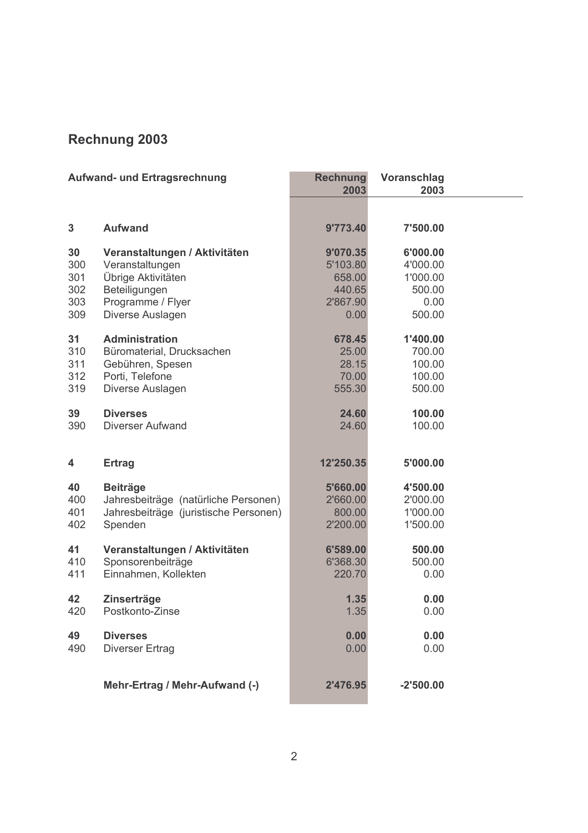# Rechnung 2003

| <b>Aufwand- und Ertragsrechnung</b> |                                       | <b>Rechnung</b><br>2003 | Voranschlag<br>2003 |  |
|-------------------------------------|---------------------------------------|-------------------------|---------------------|--|
|                                     |                                       |                         |                     |  |
| 3                                   | <b>Aufwand</b>                        | 9'773.40                | 7'500.00            |  |
| 30                                  | Veranstaltungen / Aktivitäten         | 9'070.35                | 6'000.00            |  |
| 300                                 | Veranstaltungen                       | 5'103.80                | 4'000.00            |  |
| 301                                 | Übrige Aktivitäten                    | 658.00                  | 1'000.00            |  |
| 302                                 | Beteiligungen                         | 440.65                  | 500.00              |  |
| 303                                 | Programme / Flyer                     | 2'867.90                | 0.00                |  |
| 309                                 | Diverse Auslagen                      | 0.00                    | 500.00              |  |
| 31                                  | <b>Administration</b>                 | 678.45                  | 1'400.00            |  |
| 310                                 | Büromaterial, Drucksachen             | 25.00                   | 700.00              |  |
| 311                                 | Gebühren, Spesen                      | 28.15                   | 100.00              |  |
| 312                                 | Porti, Telefone                       | 70.00                   | 100.00              |  |
| 319                                 | Diverse Auslagen                      | 555.30                  | 500.00              |  |
| 39                                  | <b>Diverses</b>                       | 24.60                   | 100.00              |  |
| 390                                 | <b>Diverser Aufwand</b>               | 24.60                   | 100.00              |  |
|                                     |                                       |                         |                     |  |
| 4                                   | <b>Ertrag</b>                         | 12'250.35               | 5'000.00            |  |
| 40                                  | <b>Beiträge</b>                       | 5'660.00                | 4'500.00            |  |
| 400                                 | Jahresbeiträge (natürliche Personen)  | 2'660.00                | 2'000.00            |  |
| 401                                 | Jahresbeiträge (juristische Personen) | 800.00                  | 1'000.00            |  |
| 402                                 | Spenden                               | 2'200.00                | 1'500.00            |  |
| 41                                  | Veranstaltungen / Aktivitäten         | 6'589.00                | 500.00              |  |
| 410                                 | Sponsorenbeiträge                     | 6'368.30                | 500.00              |  |
| 411                                 | Einnahmen, Kollekten                  | 220.70                  | 0.00                |  |
|                                     |                                       |                         |                     |  |
| 42                                  | Zinserträge                           | 1.35                    | 0.00<br>0.00        |  |
| 420                                 | Postkonto-Zinse                       | 1.35                    |                     |  |
| 49                                  | <b>Diverses</b>                       | 0.00                    | 0.00                |  |
| 490                                 | <b>Diverser Ertrag</b>                | 0.00                    | 0.00                |  |
|                                     |                                       |                         |                     |  |
|                                     | Mehr-Ertrag / Mehr-Aufwand (-)        | 2'476.95                | $-2'500.00$         |  |
|                                     |                                       |                         |                     |  |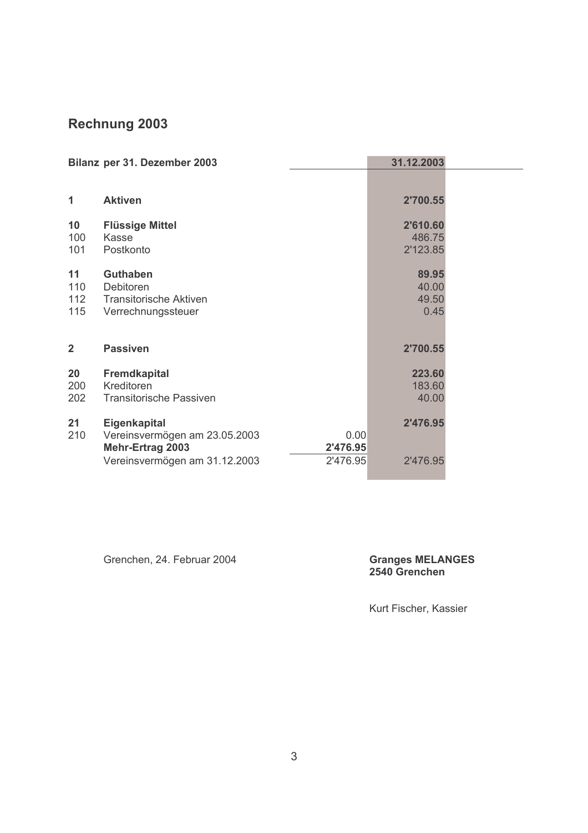## Rechnung 2003

| Bilanz per 31. Dezember 2003 |                                                                                       | 31.12.2003                      |  |
|------------------------------|---------------------------------------------------------------------------------------|---------------------------------|--|
|                              |                                                                                       |                                 |  |
| 1                            | <b>Aktiven</b>                                                                        | 2'700.55                        |  |
| 10<br>100<br>101             | <b>Flüssige Mittel</b><br>Kasse<br>Postkonto                                          | 2'610.60<br>486.75<br>2'123.85  |  |
| 11<br>110<br>112<br>115      | <b>Guthaben</b><br>Debitoren<br><b>Transitorische Aktiven</b><br>Verrechnungssteuer   | 89.95<br>40.00<br>49.50<br>0.45 |  |
| $\overline{2}$               | <b>Passiven</b>                                                                       | 2'700.55                        |  |
| 20<br>200<br>202             | <b>Fremdkapital</b><br>Kreditoren<br><b>Transitorische Passiven</b>                   | 223.60<br>183.60<br>40.00       |  |
| 21<br>210                    | Eigenkapital<br>Vereinsvermögen am 23.05.2003<br>0.00<br>Mehr-Ertrag 2003<br>2'476.95 | 2'476.95                        |  |
|                              | Vereinsvermögen am 31.12.2003<br>2'476.95                                             | 2'476.95                        |  |

Grenchen, 24. Februar 2004

### **Granges MELANGES** 2540 Grenchen

Kurt Fischer, Kassier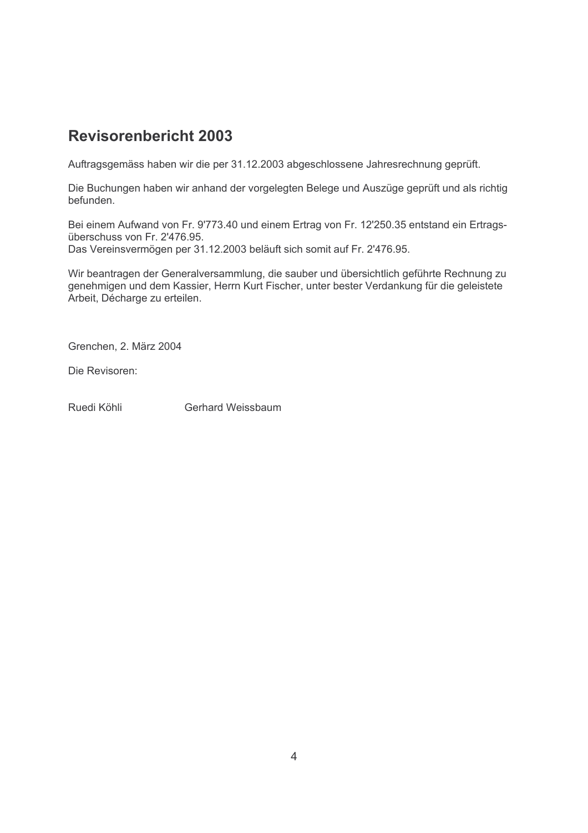# **Revisorenbericht 2003**

Auftragsgemäss haben wir die per 31.12.2003 abgeschlossene Jahresrechnung geprüft.

Die Buchungen haben wir anhand der vorgelegten Belege und Auszüge geprüft und als richtig befunden.

Bei einem Aufwand von Fr. 9'773.40 und einem Ertrag von Fr. 12'250.35 entstand ein Ertragsüberschuss von Fr. 2'476.95. Das Vereinsvermögen per 31.12.2003 beläuft sich somit auf Fr. 2'476.95.

Wir beantragen der Generalversammlung, die sauber und übersichtlich geführte Rechnung zu genehmigen und dem Kassier, Herrn Kurt Fischer, unter bester Verdankung für die geleistete Arbeit, Décharge zu erteilen.

Grenchen. 2. März 2004

Die Revisoren:

Ruedi Köhli **Gerhard Weissbaum**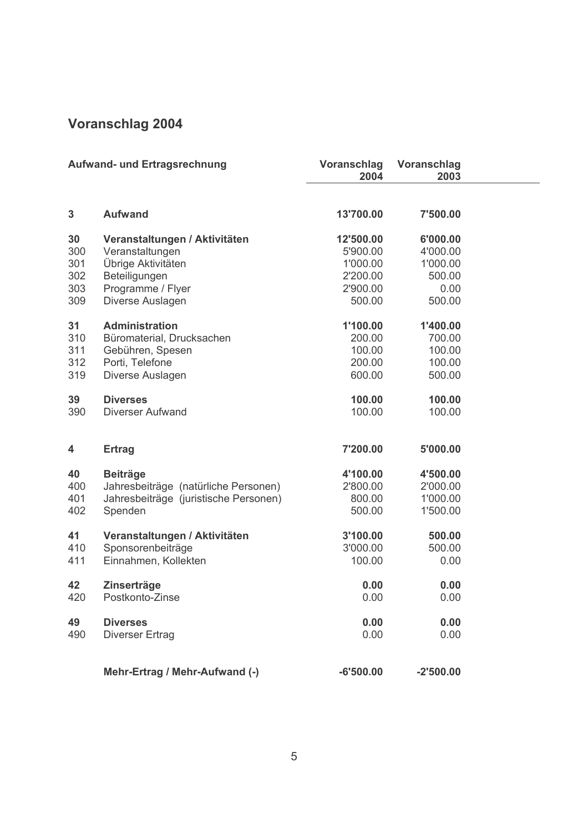# Voranschlag 2004

| <b>Aufwand- und Ertragsrechnung</b> |                                       | <b>Voranschlag</b><br>2004 | Voranschlag<br>2003 |  |
|-------------------------------------|---------------------------------------|----------------------------|---------------------|--|
| $\mathbf{3}$                        | <b>Aufwand</b>                        | 13'700.00                  | 7'500.00            |  |
| 30                                  | Veranstaltungen / Aktivitäten         | 12'500.00                  | 6'000.00            |  |
| 300                                 | Veranstaltungen                       | 5'900.00                   | 4'000.00            |  |
| 301                                 | Übrige Aktivitäten                    | 1'000.00                   | 1'000.00            |  |
| 302                                 | Beteiligungen                         | 2'200.00                   | 500.00              |  |
| 303                                 | Programme / Flyer                     | 2'900.00                   | 0.00                |  |
| 309                                 | Diverse Auslagen                      | 500.00                     | 500.00              |  |
| 31                                  | <b>Administration</b>                 | 1'100.00                   | 1'400.00            |  |
| 310                                 | Büromaterial, Drucksachen             | 200.00                     | 700.00              |  |
| 311                                 | Gebühren, Spesen                      | 100.00                     | 100.00              |  |
| 312                                 | Porti, Telefone                       | 200.00                     | 100.00              |  |
| 319                                 | Diverse Auslagen                      | 600.00                     | 500.00              |  |
| 39                                  | <b>Diverses</b>                       | 100.00                     | 100.00              |  |
| 390                                 | <b>Diverser Aufwand</b>               | 100.00                     | 100.00              |  |
| 4                                   | <b>Ertrag</b>                         | 7'200.00                   | 5'000.00            |  |
| 40                                  | <b>Beiträge</b>                       | 4'100.00                   | 4'500.00            |  |
| 400                                 | Jahresbeiträge (natürliche Personen)  | 2'800.00                   | 2'000.00            |  |
| 401                                 | Jahresbeiträge (juristische Personen) | 800.00                     | 1'000.00            |  |
| 402                                 | Spenden                               | 500.00                     | 1'500.00            |  |
| 41                                  | Veranstaltungen / Aktivitäten         | 3'100.00                   | 500.00              |  |
| 410                                 | Sponsorenbeiträge                     | 3'000.00                   | 500.00              |  |
| 411                                 | Einnahmen, Kollekten                  | 100.00                     | 0.00                |  |
| 42                                  | <b>Zinserträge</b>                    | 0.00                       | 0.00                |  |
| 420                                 | Postkonto-Zinse                       | 0.00                       | 0.00                |  |
| 49                                  | <b>Diverses</b>                       | 0.00                       | 0.00                |  |
| 490                                 | <b>Diverser Ertrag</b>                | 0.00                       | 0.00                |  |
|                                     | Mehr-Ertrag / Mehr-Aufwand (-)        | $-6'500.00$                | $-2'500.00$         |  |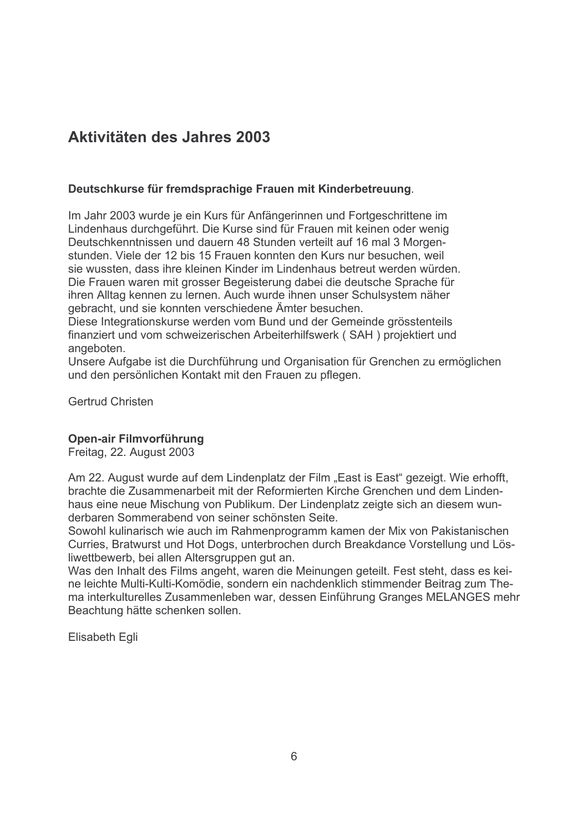# Aktivitäten des Jahres 2003

### Deutschkurse für fremdsprachige Frauen mit Kinderbetreuung.

Im Jahr 2003 wurde je ein Kurs für Anfängerinnen und Fortgeschrittene im Lindenhaus durchgeführt. Die Kurse sind für Frauen mit keinen oder wenig Deutschkenntnissen und dauern 48 Stunden verteilt auf 16 mal 3 Morgenstunden. Viele der 12 bis 15 Frauen konnten den Kurs nur besuchen, weil sie wussten, dass ihre kleinen Kinder im Lindenhaus betreut werden würden. Die Frauen waren mit grosser Begeisterung dabei die deutsche Sprache für ihren Alltag kennen zu lernen. Auch wurde ihnen unser Schulsystem näher gebracht, und sie konnten verschiedene Ämter besuchen.

Diese Integrationskurse werden vom Bund und der Gemeinde grösstenteils finanziert und vom schweizerischen Arbeiterhilfswerk (SAH) projektiert und angeboten.

Unsere Aufgabe ist die Durchführung und Organisation für Grenchen zu ermöglichen und den persönlichen Kontakt mit den Frauen zu pflegen.

Gertrud Christen

#### Open-air Filmvorführung

Freitag, 22. August 2003

Am 22. August wurde auf dem Lindenplatz der Film "East is East" gezeigt. Wie erhofft, brachte die Zusammenarbeit mit der Reformierten Kirche Grenchen und dem Lindenhaus eine neue Mischung von Publikum. Der Lindenplatz zeigte sich an diesem wunderbaren Sommerabend von seiner schönsten Seite.

Sowohl kulinarisch wie auch im Rahmenprogramm kamen der Mix von Pakistanischen Curries, Bratwurst und Hot Dogs, unterbrochen durch Breakdance Vorstellung und Lösliwettbewerb, bei allen Altersgruppen gut an.

Was den Inhalt des Films angeht, waren die Meinungen geteilt. Fest steht, dass es keine leichte Multi-Kulti-Komödie, sondern ein nachdenklich stimmender Beitrag zum Thema interkulturelles Zusammenleben war, dessen Einführung Granges MELANGES mehr Beachtung hätte schenken sollen.

**Elisabeth Egli**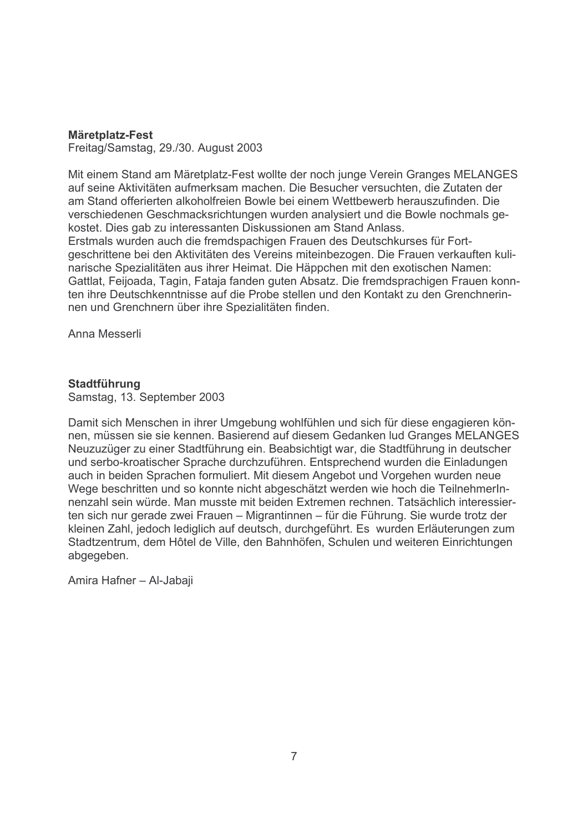#### Märetplatz-Fest

Freitag/Samstag, 29./30. August 2003

Mit einem Stand am Märetplatz-Fest wollte der noch junge Verein Granges MELANGES auf seine Aktivitäten aufmerksam machen. Die Besucher versuchten, die Zutaten der am Stand offerierten alkoholfreien Bowle bei einem Wettbewerb herauszufinden. Die verschiedenen Geschmacksrichtungen wurden analysiert und die Bowle nochmals gekostet. Dies gab zu interessanten Diskussionen am Stand Anlass. Erstmals wurden auch die fremdspachigen Frauen des Deutschkurses für Fortgeschrittene bei den Aktivitäten des Vereins miteinbezogen. Die Frauen verkauften kulinarische Spezialitäten aus ihrer Heimat. Die Häppchen mit den exotischen Namen: Gattlat, Feijoada, Tagin, Fataja fanden guten Absatz. Die fremdsprachigen Frauen konnten ihre Deutschkenntnisse auf die Probe stellen und den Kontakt zu den Grenchnerinnen und Grenchnern über ihre Spezialitäten finden.

Anna Messerli

### **Stadtführung**

Samstag, 13. September 2003

Damit sich Menschen in ihrer Umgebung wohlfühlen und sich für diese engagieren können, müssen sie sie kennen. Basierend auf diesem Gedanken lud Granges MELANGES Neuzuzüger zu einer Stadtführung ein. Beabsichtigt war, die Stadtführung in deutscher und serbo-kroatischer Sprache durchzuführen. Entsprechend wurden die Einladungen auch in beiden Sprachen formuliert. Mit diesem Angebot und Vorgehen wurden neue Wege beschritten und so konnte nicht abgeschätzt werden wie hoch die Teilnehmerlnnenzahl sein würde. Man musste mit beiden Extremen rechnen. Tatsächlich interessierten sich nur gerade zwei Frauen – Migrantinnen – für die Führung. Sie wurde trotz der kleinen Zahl, jedoch lediglich auf deutsch, durchgeführt. Es wurden Erläuterungen zum Stadtzentrum, dem Hôtel de Ville, den Bahnhöfen, Schulen und weiteren Einrichtungen abgegeben.

Amira Hafner - Al-Jabaii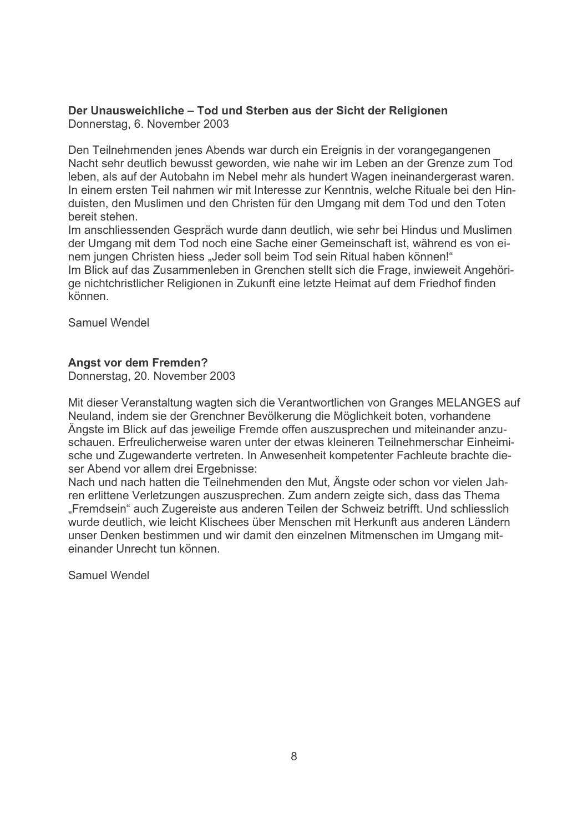### Der Unausweichliche - Tod und Sterben aus der Sicht der Religionen

Donnerstag, 6. November 2003

Den Teilnehmenden jenes Abends war durch ein Ereignis in der vorangegangenen Nacht sehr deutlich bewusst geworden, wie nahe wir im Leben an der Grenze zum Tod leben, als auf der Autobahn im Nebel mehr als hundert Wagen ineinandergerast waren. In einem ersten Teil nahmen wir mit Interesse zur Kenntnis, welche Rituale bei den Hinduisten, den Muslimen und den Christen für den Umgang mit dem Tod und den Toten bereit stehen.

Im anschliessenden Gespräch wurde dann deutlich, wie sehr bei Hindus und Muslimen der Umgang mit dem Tod noch eine Sache einer Gemeinschaft ist, während es von einem jungen Christen hiess "Jeder soll beim Tod sein Ritual haben können!" Im Blick auf das Zusammenleben in Grenchen stellt sich die Frage, inwieweit Angehörige nichtchristlicher Religionen in Zukunft eine letzte Heimat auf dem Friedhof finden können.

Samuel Wendel

### **Anast vor dem Fremden?**

Donnerstag, 20. November 2003

Mit dieser Veranstaltung wagten sich die Verantwortlichen von Granges MELANGES auf Neuland, indem sie der Grenchner Bevölkerung die Möglichkeit boten, vorhandene Ängste im Blick auf das jeweilige Fremde offen auszusprechen und miteinander anzuschauen. Erfreulicherweise waren unter der etwas kleineren Teilnehmerschar Einheimische und Zugewanderte vertreten. In Anwesenheit kompetenter Fachleute brachte dieser Abend vor allem drei Ergebnisse:

Nach und nach hatten die Teilnehmenden den Mut. Ängste oder schon vor vielen Jahren erlittene Verletzungen auszusprechen. Zum andern zeigte sich, dass das Thema "Fremdsein" auch Zugereiste aus anderen Teilen der Schweiz betrifft. Und schliesslich wurde deutlich, wie leicht Klischees über Menschen mit Herkunft aus anderen Ländern unser Denken bestimmen und wir damit den einzelnen Mitmenschen im Umgang miteinander Unrecht tun können

Samuel Wendel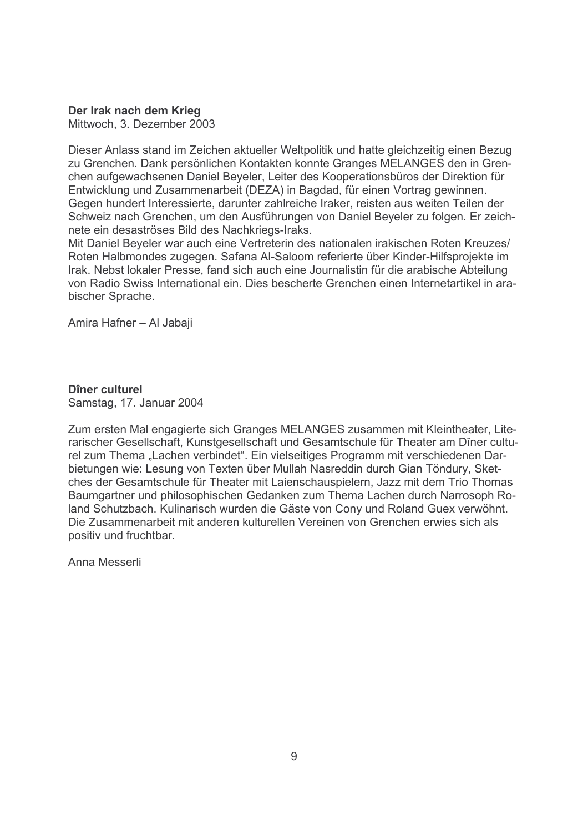Der Irak nach dem Krieg

Mittwoch, 3. Dezember 2003

Dieser Anlass stand im Zeichen aktueller Weltpolitik und hatte gleichzeitig einen Bezug zu Grenchen. Dank persönlichen Kontakten konnte Granges MELANGES den in Grenchen aufgewachsenen Daniel Beyeler, Leiter des Kooperationsbüros der Direktion für Entwicklung und Zusammenarbeit (DEZA) in Bagdad, für einen Vortrag gewinnen. Gegen hundert Interessierte, darunter zahlreiche Iraker, reisten aus weiten Teilen der Schweiz nach Grenchen, um den Ausführungen von Daniel Beyeler zu folgen. Er zeichnete ein desaströses Bild des Nachkriegs-Iraks.

Mit Daniel Beyeler war auch eine Vertreterin des nationalen irakischen Roten Kreuzes/ Roten Halbmondes zugegen. Safana Al-Saloom referierte über Kinder-Hilfsprojekte im Irak. Nebst lokaler Presse, fand sich auch eine Journalistin für die arabische Abteilung von Radio Swiss International ein. Dies bescherte Grenchen einen Internetartikel in arabischer Sprache.

Amira Hafner - Al Jabaji

Dîner culturel Samstag, 17. Januar 2004

Zum ersten Mal engagierte sich Granges MELANGES zusammen mit Kleintheater, Literarischer Gesellschaft, Kunstgesellschaft und Gesamtschule für Theater am Dîner culturel zum Thema "Lachen verbindet". Ein vielseitiges Programm mit verschiedenen Darbietungen wie: Lesung von Texten über Mullah Nasreddin durch Gian Töndury, Sketches der Gesamtschule für Theater mit Laienschauspielern. Jazz mit dem Trio Thomas Baumgartner und philosophischen Gedanken zum Thema Lachen durch Narrosoph Roland Schutzbach. Kulinarisch wurden die Gäste von Cony und Roland Guex verwöhnt. Die Zusammenarbeit mit anderen kulturellen Vereinen von Grenchen erwies sich als positiv und fruchtbar.

Anna Messerli